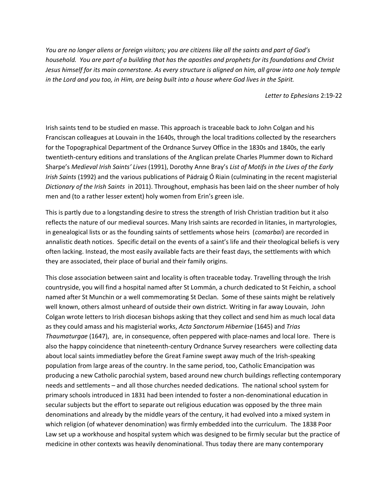*You are no longer aliens or foreign visitors; you are citizens like all the saints and part of God's household. You are part of a building that has the apostles and prophets for its foundations and Christ Jesus himself for its main cornerstone. As every structure is aligned on him, all grow into one holy temple in the Lord and you too, in Him, are being built into a house where God lives in the Spirit.* 

*Letter to Ephesians* 2:19-22

Irish saints tend to be studied en masse. This approach is traceable back to John Colgan and his Franciscan colleagues at Louvain in the 1640s, through the local traditions collected by the researchers for the Topographical Department of the Ordnance Survey Office in the 1830s and 1840s, the early twentieth-century editions and translations of the Anglican prelate Charles Plummer down to Richard Sharpe's *Medieval Irish Saints' Lives* (1991), Dorothy Anne Bray's *List of Motifs in the Lives of the Early Irish Saints* (1992) and the various publications of Pádraig Ó Riain (culminating in the recent magisterial *Dictionary of the Irish Saints* in 2011). Throughout, emphasis has been laid on the sheer number of holy men and (to a rather lesser extent) holy women from Erin's green isle.

This is partly due to a longstanding desire to stress the strength of Irish Christian tradition but it also reflects the nature of our medieval sources. Many Irish saints are recorded in litanies, in martyrologies, in genealogical lists or as the founding saints of settlements whose heirs (*comarbai*) are recorded in annalistic death notices. Specific detail on the events of a saint's life and their theological beliefs is very often lacking. Instead, the most easily available facts are their feast days, the settlements with which they are associated, their place of burial and their family origins.

This close association between saint and locality is often traceable today. Travelling through the Irish countryside, you will find a hospital named after St Lommán, a church dedicated to St Feichin, a school named after St Munchin or a well commemorating St Declan. Some of these saints might be relatively well known, others almost unheard of outside their own district. Writing in far away Louvain, John Colgan wrote letters to Irish diocesan bishops asking that they collect and send him as much local data as they could amass and his magisterial works, *Acta Sanctorum Hiberniae* (1645) and *Trias Thaumaturgae* (1647), are, in consequence, often peppered with place-names and local lore. There is also the happy coincidence that nineteenth-century Ordnance Survey researchers were collecting data about local saints immediatley before the Great Famine swept away much of the Irish-speaking population from large areas of the country. In the same period, too, Catholic Emancipation was producing a new Catholic parochial system, based around new church buildings reflecting contemporary needs and settlements – and all those churches needed dedications. The national school system for primary schools introduced in 1831 had been intended to foster a non-denominational education in secular subjects but the effort to separate out religious education was opposed by the three main denominations and already by the middle years of the century, it had evolved into a mixed system in which religion (of whatever denomination) was firmly embedded into the curriculum. The 1838 Poor Law set up a workhouse and hospital system which was designed to be firmly secular but the practice of medicine in other contexts was heavily denominational. Thus today there are many contemporary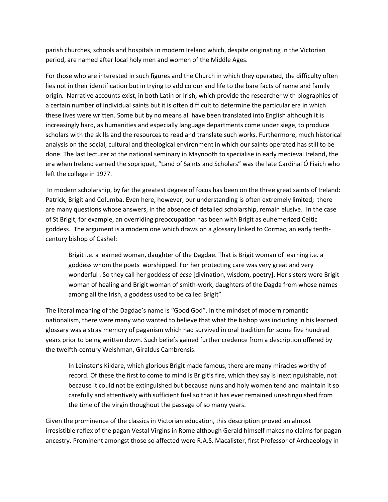parish churches, schools and hospitals in modern Ireland which, despite originating in the Victorian period, are named after local holy men and women of the Middle Ages.

For those who are interested in such figures and the Church in which they operated, the difficulty often lies not in their identification but in trying to add colour and life to the bare facts of name and family origin. Narrative accounts exist, in both Latin or Irish, which provide the researcher with biographies of a certain number of individual saints but it is often difficult to determine the particular era in which these lives were written. Some but by no means all have been translated into English although it is increasingly hard, as humanities and especially language departments come under siege, to produce scholars with the skills and the resources to read and translate such works. Furthermore, much historical analysis on the social, cultural and theological environment in which our saints operated has still to be done. The last lecturer at the national seminary in Maynooth to specialise in early medieval Ireland, the era when Ireland earned the sopriquet, "Land of Saints and Scholars" was the late Cardinal Ó Fiaich who left the college in 1977.

In modern scholarship, by far the greatest degree of focus has been on the three great saints of Ireland: Patrick, Brigit and Columba. Even here, however, our understanding is often extremely limited; there are many questions whose answers, in the absence of detailed scholarship, remain elusive. In the case of St Brigit, for example, an overriding preoccupation has been with Brigit as euhemerized Celtic goddess. The argument is a modern one which draws on a glossary linked to Cormac, an early tenthcentury bishop of Cashel:

Brigit i.e. a learned woman, daughter of the Dagdae. That is Brigit woman of learning i.e. a goddess whom the poets worshipped. For her protecting care was very great and very wonderful . So they call her goddess of *écse* [divination, wisdom, poetry]. Her sisters were Brigit woman of healing and Brigit woman of smith-work, daughters of the Dagda from whose names among all the Irish, a goddess used to be called Brigit"

The literal meaning of the Dagdae's name is "Good God". In the mindset of modern romantic nationalism, there were many who wanted to believe that what the bishop was including in his learned glossary was a stray memory of paganism which had survived in oral tradition for some five hundred years prior to being written down. Such beliefs gained further credence from a description offered by the twelfth-century Welshman, Giraldus Cambrensis:

In Leinster's Kildare, which glorious Brigit made famous, there are many miracles worthy of record. Of these the first to come to mind is Brigit's fire, which they say is inextinguishable, not because it could not be extinguished but because nuns and holy women tend and maintain it so carefully and attentively with sufficient fuel so that it has ever remained unextinguished from the time of the virgin thoughout the passage of so many years.

Given the prominence of the classics in Victorian education, this description proved an almost irresistible reflex of the pagan Vestal Virgins in Rome although Gerald himself makes no claims for pagan ancestry. Prominent amongst those so affected were R.A.S. Macalister, first Professor of Archaeology in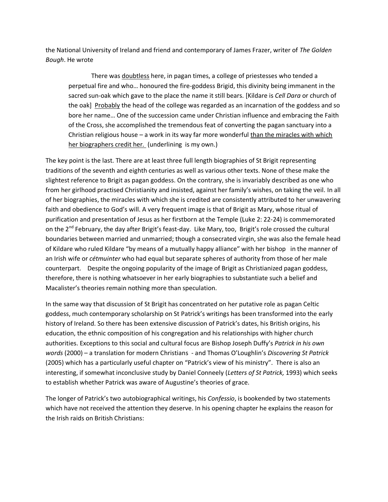the National University of Ireland and friend and contemporary of James Frazer, writer of *The Golden Bough*. He wrote

There was doubtless here, in pagan times, a college of priestesses who tended a perpetual fire and who… honoured the fire-goddess Brigid, this divinity being immanent in the sacred sun-oak which gave to the place the name it still bears. [Kildare is *Cell Dara* or church of the oak] Probably the head of the college was regarded as an incarnation of the goddess and so bore her name… One of the succession came under Christian influence and embracing the Faith of the Cross, she accomplished the tremendous feat of converting the pagan sanctuary into a Christian religious house  $-$  a work in its way far more wonderful than the miracles with which her biographers credit her*.* (underlining is my own.)

The key point is the last. There are at least three full length biographies of St Brigit representing traditions of the seventh and eighth centuries as well as various other texts. None of these make the slightest reference to Brigit as pagan goddess. On the contrary, she is invariably described as one who from her girlhood practised Christianity and insisted, against her family's wishes, on taking the veil. In all of her biographies, the miracles with which she is credited are consistently attributed to her unwavering faith and obedience to God's will. A very frequent image is that of Brigit as Mary, whose ritual of purification and presentation of Jesus as her firstborn at the Temple (Luke 2: 22-24) is commemorated on the 2<sup>nd</sup> February, the day after Brigit's feast-day. Like Mary, too, Brigit's role crossed the cultural boundaries between married and unmarried; though a consecrated virgin, she was also the female head of Kildare who ruled Kildare "by means of a mutually happy alliance" with her bishop in the manner of an Irish wife or *cétmuinter* who had equal but separate spheres of authority from those of her male counterpart. Despite the ongoing popularity of the image of Brigit as Christianized pagan goddess, therefore, there is nothing whatsoever in her early biographies to substantiate such a belief and Macalister's theories remain nothing more than speculation.

In the same way that discussion of St Brigit has concentrated on her putative role as pagan Celtic goddess, much contemporary scholarship on St Patrick's writings has been transformed into the early history of Ireland. So there has been extensive discussion of Patrick's dates, his British origins, his education, the ethnic composition of his congregation and his relationships with higher church authorities. Exceptions to this social and cultural focus are Bishop Joseph Duffy's *Patrick in his own words* (2000) – a translation for modern Christians - and Thomas O'Loughlin's *Discovering St Patrick*  (2005) which has a particularly useful chapter on "Patrick's view of his ministry". There is also an interesting, if somewhat inconclusive study by Daniel Conneely (*Letters of St Patrick,* 1993) which seeks to establish whether Patrick was aware of Augustine's theories of grace.

The longer of Patrick's two autobiographical writings, his *Confessio*, is bookended by two statements which have not received the attention they deserve. In his opening chapter he explains the reason for the Irish raids on British Christians: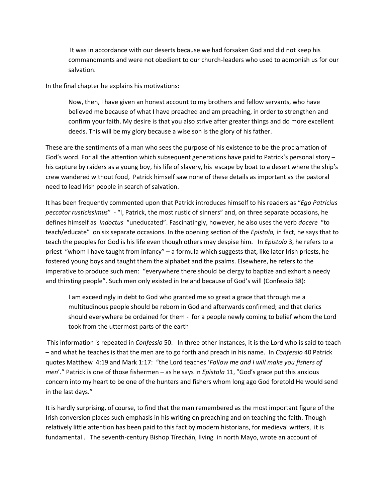It was in accordance with our deserts because we had forsaken God and did not keep his commandments and were not obedient to our church-leaders who used to admonish us for our salvation.

In the final chapter he explains his motivations:

Now, then, I have given an honest account to my brothers and fellow servants, who have believed me because of what I have preached and am preaching, in order to strengthen and confirm your faith. My desire is that you also strive after greater things and do more excellent deeds. This will be my glory because a wise son is the glory of his father.

These are the sentiments of a man who sees the purpose of his existence to be the proclamation of God's word. For all the attention which subsequent generations have paid to Patrick's personal story – his capture by raiders as a young boy, his life of slavery, his escape by boat to a desert where the ship's crew wandered without food, Patrick himself saw none of these details as important as the pastoral need to lead Irish people in search of salvation.

It has been frequently commented upon that Patrick introduces himself to his readers as "*Ego Patricius peccator rusticissimus*" - "I, Patrick, the most rustic of sinners" and, on three separate occasions, he defines himself as *indoctus* "uneducated". Fascinatingly, however, he also uses the verb *docere* "to teach/educate" on six separate occasions. In the opening section of the *Epistola,* in fact, he says that to teach the peoples for God is his life even though others may despise him. In *Epistola* 3, he refers to a priest "whom I have taught from infancy" – a formula which suggests that, like later Irish priests, he fostered young boys and taught them the alphabet and the psalms. Elsewhere, he refers to the imperative to produce such men: "everywhere there should be clergy to baptize and exhort a needy and thirsting people". Such men only existed in Ireland because of God's will (Confessio 38):

I am exceedingly in debt to God who granted me so great a grace that through me a multitudinous people should be reborn in God and afterwards confirmed; and that clerics should everywhere be ordained for them - for a people newly coming to belief whom the Lord took from the uttermost parts of the earth

This information is repeated in *Confessio* 50. In three other instances, it is the Lord who is said to teach – and what he teaches is that the men are to go forth and preach in his name. In *Confessio* 40 Patrick quotes Matthew 4:19 and Mark 1:17: "the Lord teaches '*Follow me and I will make you fishers of men*'." Patrick is one of those fishermen – as he says in *Epistola* 11, "God's grace put this anxious concern into my heart to be one of the hunters and fishers whom long ago God foretold He would send in the last days."

It is hardly surprising, of course, to find that the man remembered as the most important figure of the Irish conversion places such emphasis in his writing on preaching and on teaching the faith. Though relatively little attention has been paid to this fact by modern historians, for medieval writers, it is fundamental . The seventh-century Bishop Tírechán, living in north Mayo, wrote an account of